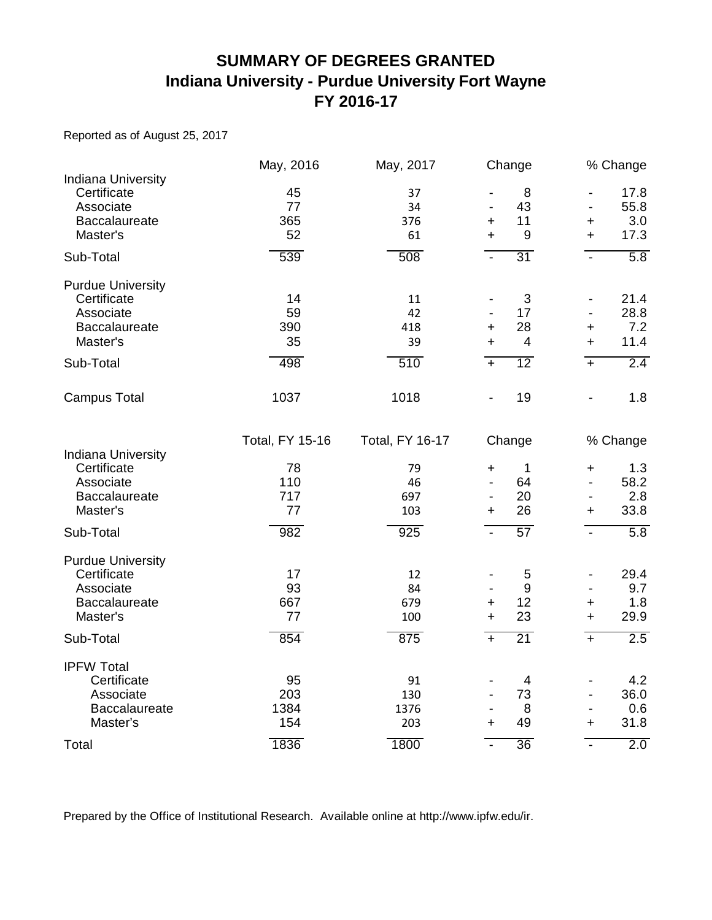## **SUMMARY OF DEGREES GRANTED Indiana University - Purdue University Fort Wayne FY 2016-17**

Reported as of August 25, 2017

|                                                                                                       | May, 2016                                               | May, 2017                                               | Change                                                                                                         |                                                                                                                           | % Change                                      |
|-------------------------------------------------------------------------------------------------------|---------------------------------------------------------|---------------------------------------------------------|----------------------------------------------------------------------------------------------------------------|---------------------------------------------------------------------------------------------------------------------------|-----------------------------------------------|
| Indiana University<br>Certificate<br>Associate<br>Baccalaureate<br>Master's                           | 45<br>77<br>365<br>52                                   | 37<br>34<br>376<br>61                                   | 8<br>43<br>11<br>+<br>$9\,$<br>$\ddot{}$                                                                       | $\overline{\phantom{a}}$<br>$\blacksquare$<br>$\mathbf +$<br>$\ddot{}$                                                    | 17.8<br>55.8<br>3.0<br>17.3                   |
| Sub-Total                                                                                             | 539                                                     | 508                                                     | 31<br>$\blacksquare$                                                                                           | $\mathbf{r}$                                                                                                              | 5.8                                           |
| <b>Purdue University</b><br>Certificate<br>Associate<br><b>Baccalaureate</b><br>Master's<br>Sub-Total | 14<br>59<br>390<br>35<br>498                            | 11<br>42<br>418<br>39<br>510                            | $\sqrt{3}$<br>17<br>28<br>+<br>$\overline{4}$<br>$\ddot{}$<br>$\overline{12}$<br>$+$                           | $\overline{\phantom{a}}$<br>+<br>$\ddot{}$<br>$+$                                                                         | 21.4<br>28.8<br>7.2<br>11.4<br>2.4            |
| <b>Campus Total</b>                                                                                   | 1037                                                    | 1018                                                    | 19                                                                                                             | $\overline{\phantom{a}}$                                                                                                  | 1.8                                           |
| Indiana University<br>Certificate<br>Associate<br><b>Baccalaureate</b><br>Master's<br>Sub-Total       | <b>Total, FY 15-16</b><br>78<br>110<br>717<br>77<br>982 | <b>Total, FY 16-17</b><br>79<br>46<br>697<br>103<br>925 | Change<br>$\mathbf 1$<br>$\ddagger$<br>64<br>20<br>$\overline{\phantom{a}}$<br>26<br>٠<br>57<br>$\blacksquare$ | $\ddag$<br>$\overline{a}$<br>$\overline{\phantom{a}}$<br>$\ddot{}$<br>$\blacksquare$                                      | % Change<br>1.3<br>58.2<br>2.8<br>33.8<br>5.8 |
| <b>Purdue University</b><br>Certificate<br>Associate<br>Baccalaureate<br>Master's<br>Sub-Total        | 17<br>93<br>667<br>77<br>854                            | 12<br>84<br>679<br>100<br>875                           | 5<br>9<br>12<br>+<br>23<br>$\ddot{}$<br>21<br>$\ddot{\phantom{1}}$                                             | $\overline{\phantom{a}}$<br>$\overline{\phantom{a}}$<br>$\ddot{}$<br>$+$<br>$+$                                           | 29.4<br>9.7<br>1.8<br>29.9<br>2.5             |
| <b>IPFW Total</b><br>Certificate<br>Associate<br>Baccalaureate<br>Master's<br>Total                   | 95<br>203<br>1384<br>154<br>1836                        | 91<br>130<br>1376<br>203<br>1800                        | $\overline{4}$<br>73<br>$\overline{\phantom{a}}$<br>8<br>49<br>$\ddot{}$<br>$\overline{36}$<br>$\overline{a}$  | $\overline{\phantom{a}}$<br>$\overline{\phantom{a}}$<br>$\overline{\phantom{a}}$<br>$\ddot{}$<br>$\overline{\phantom{0}}$ | 4.2<br>36.0<br>0.6<br>31.8<br>2.0             |

Prepared by the Office of Institutional Research. Available online at http://www.ipfw.edu/ir.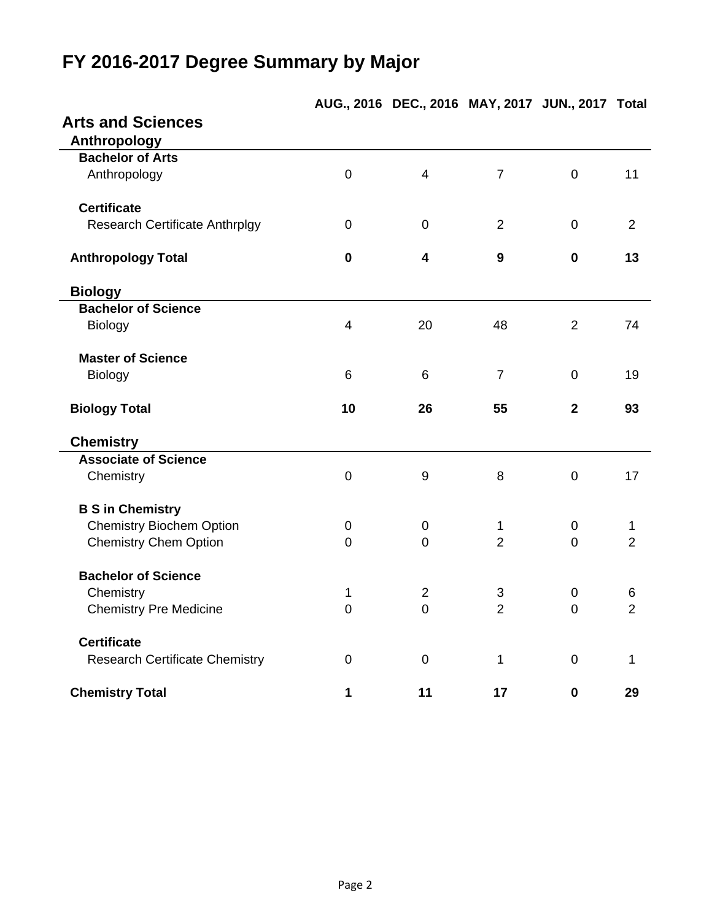## **FY 2016-2017 Degree Summary by Major**

|                                       |                | AUG., ZUIS DEC., ZUIS MAT, ZUIT JUN., ZUIT |                  |                | <b>TOtal</b>   |
|---------------------------------------|----------------|--------------------------------------------|------------------|----------------|----------------|
| <b>Arts and Sciences</b>              |                |                                            |                  |                |                |
| Anthropology                          |                |                                            |                  |                |                |
| <b>Bachelor of Arts</b>               |                |                                            |                  |                |                |
| Anthropology                          | $\mathbf 0$    | $\overline{4}$                             | $\overline{7}$   | $\mathbf 0$    | 11             |
| <b>Certificate</b>                    |                |                                            |                  |                |                |
| <b>Research Certificate Anthrplgy</b> | $\mathbf 0$    | $\mathbf 0$                                | $\overline{2}$   | $\mathbf 0$    | 2              |
| <b>Anthropology Total</b>             | $\mathbf 0$    | $\overline{\mathbf{4}}$                    | $\boldsymbol{9}$ | 0              | 13             |
| <b>Biology</b>                        |                |                                            |                  |                |                |
| <b>Bachelor of Science</b>            |                |                                            |                  |                |                |
| <b>Biology</b>                        | $\overline{4}$ | 20                                         | 48               | $\overline{2}$ | 74             |
| <b>Master of Science</b>              |                |                                            |                  |                |                |
| <b>Biology</b>                        | 6              | 6                                          | $\overline{7}$   | $\mathbf 0$    | 19             |
| <b>Biology Total</b>                  | 10             | 26                                         | 55               | $\mathbf{2}$   | 93             |
| <b>Chemistry</b>                      |                |                                            |                  |                |                |
| <b>Associate of Science</b>           |                |                                            |                  |                |                |
| Chemistry                             | $\mathbf 0$    | $\boldsymbol{9}$                           | 8                | $\mathbf 0$    | 17             |
| <b>B S in Chemistry</b>               |                |                                            |                  |                |                |
| <b>Chemistry Biochem Option</b>       | $\mathbf 0$    | $\pmb{0}$                                  | $\mathbf{1}$     | $\pmb{0}$      | 1              |
| <b>Chemistry Chem Option</b>          | $\overline{0}$ | $\mathbf 0$                                | $\overline{2}$   | $\Omega$       | $\overline{2}$ |
| <b>Bachelor of Science</b>            |                |                                            |                  |                |                |
| Chemistry                             | 1              | $\overline{2}$                             | 3                | 0              | 6              |
| <b>Chemistry Pre Medicine</b>         | $\overline{0}$ | $\overline{0}$                             | $\overline{2}$   | $\Omega$       | $\overline{2}$ |
| <b>Certificate</b>                    |                |                                            |                  |                |                |
| <b>Research Certificate Chemistry</b> | $\mathbf 0$    | $\boldsymbol{0}$                           | 1                | $\mathbf 0$    | $\mathbf{1}$   |
| <b>Chemistry Total</b>                | 1              | 11                                         | 17               | $\mathbf 0$    | 29             |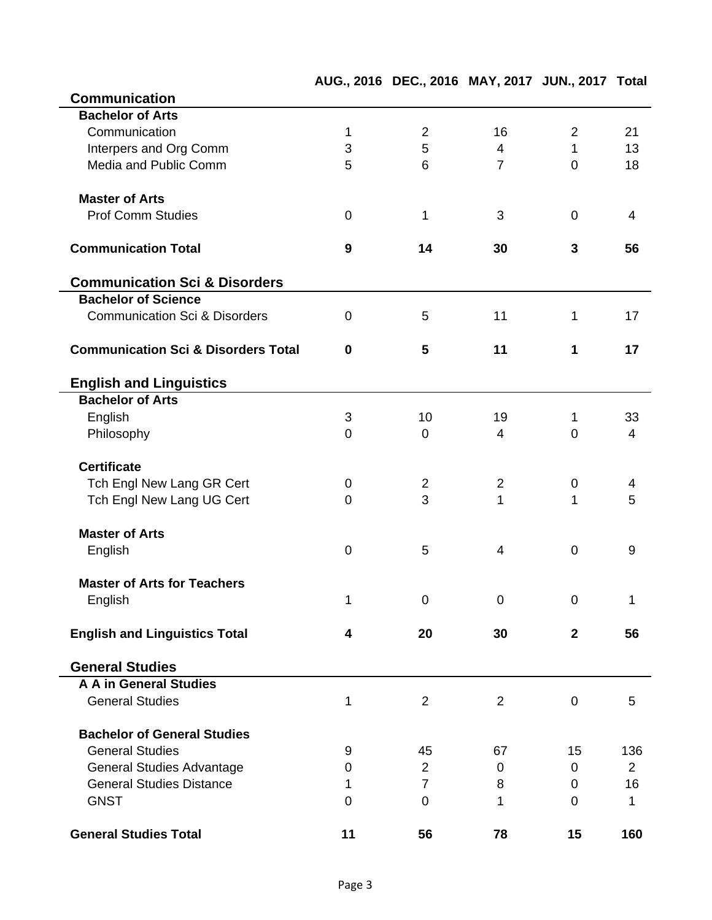|                                                |                  | AUG., 2016 DEC., 2016 MAY, 2017 JUN., 2017 Total |                |                |                |
|------------------------------------------------|------------------|--------------------------------------------------|----------------|----------------|----------------|
| <b>Communication</b>                           |                  |                                                  |                |                |                |
| <b>Bachelor of Arts</b>                        |                  |                                                  |                |                |                |
| Communication                                  | 1                | $\overline{2}$                                   | 16             | $\overline{2}$ | 21             |
| Interpers and Org Comm                         | 3                | 5                                                | $\overline{4}$ | $\mathbf{1}$   | 13             |
| Media and Public Comm                          | 5                | 6                                                | $\overline{7}$ | $\overline{0}$ | 18             |
| <b>Master of Arts</b>                          |                  |                                                  |                |                |                |
| <b>Prof Comm Studies</b>                       | $\mathbf 0$      | 1                                                | 3              | $\mathbf 0$    | 4              |
| <b>Communication Total</b>                     | $\boldsymbol{9}$ | 14                                               | 30             | 3              | 56             |
| <b>Communication Sci &amp; Disorders</b>       |                  |                                                  |                |                |                |
| <b>Bachelor of Science</b>                     |                  |                                                  |                |                |                |
| <b>Communication Sci &amp; Disorders</b>       | $\mathbf 0$      | 5                                                | 11             | 1              | 17             |
| <b>Communication Sci &amp; Disorders Total</b> | $\bf{0}$         | 5                                                | 11             | 1              | 17             |
| <b>English and Linguistics</b>                 |                  |                                                  |                |                |                |
| <b>Bachelor of Arts</b>                        |                  |                                                  |                |                |                |
| English                                        | 3                | 10                                               | 19             | 1              | 33             |
| Philosophy                                     | $\mathbf 0$      | $\mathbf 0$                                      | 4              | $\overline{0}$ | $\overline{4}$ |
|                                                |                  |                                                  |                |                |                |
| <b>Certificate</b>                             |                  |                                                  |                |                |                |
| Tch Engl New Lang GR Cert                      | $\mathbf 0$      | 2                                                | $\overline{2}$ | 0              | 4              |
| Tch Engl New Lang UG Cert                      | $\mathbf 0$      | 3                                                | 1              | 1              | 5              |
| <b>Master of Arts</b>                          |                  |                                                  |                |                |                |
| English                                        | $\mathbf 0$      | 5                                                | $\overline{4}$ | $\mathbf 0$    | $9\,$          |
|                                                |                  |                                                  |                |                |                |
| <b>Master of Arts for Teachers</b>             |                  |                                                  |                |                |                |
| English                                        | 1                | 0                                                | 0              | 0              | 1              |
| <b>English and Linguistics Total</b>           | 4                | 20                                               | 30             | $\mathbf{2}$   | 56             |
| <b>General Studies</b>                         |                  |                                                  |                |                |                |
| <b>A A in General Studies</b>                  |                  |                                                  |                |                |                |
| <b>General Studies</b>                         | $\mathbf{1}$     | $\overline{2}$                                   | 2              | $\mathbf 0$    | 5              |
|                                                |                  |                                                  |                |                |                |
| <b>Bachelor of General Studies</b>             |                  |                                                  |                |                |                |
| <b>General Studies</b>                         | 9                | 45                                               | 67             | 15             | 136            |
| <b>General Studies Advantage</b>               | 0                | $\overline{2}$                                   | $\mathbf 0$    | 0              | $\overline{2}$ |
| <b>General Studies Distance</b>                | 1                | $\overline{7}$                                   | 8              | 0              | 16             |
| <b>GNST</b>                                    | $\mathbf 0$      | 0                                                | 1              | 0              | 1              |
| <b>General Studies Total</b>                   | 11               | 56                                               | 78             | 15             | 160            |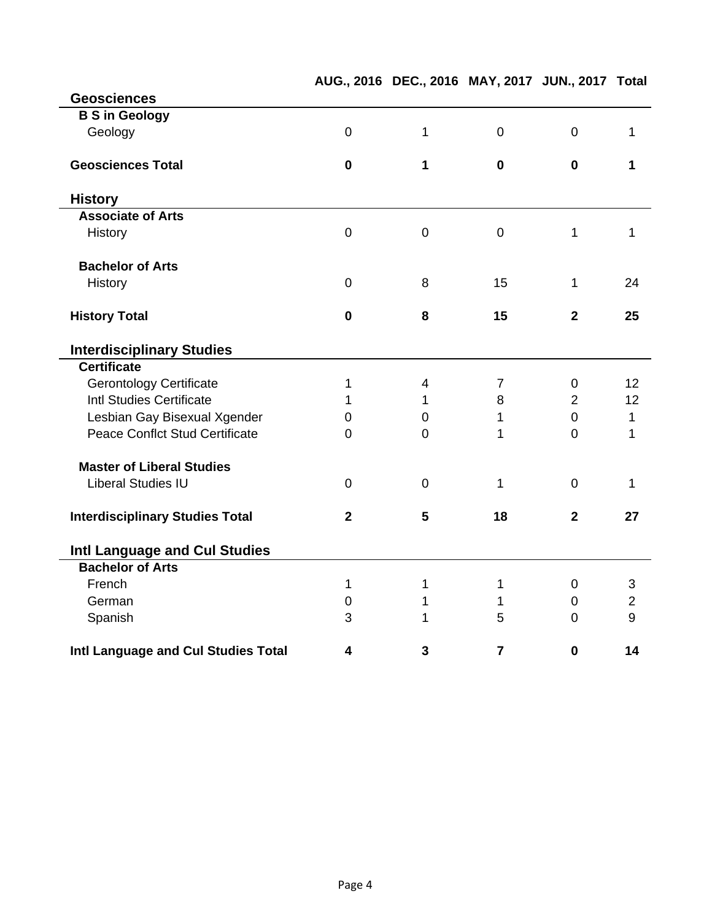|                                        |                | AUG., 2016 DEC., 2016 MAY, 2017 JUN., 2017 Total |                |                |                |
|----------------------------------------|----------------|--------------------------------------------------|----------------|----------------|----------------|
| <b>Geosciences</b>                     |                |                                                  |                |                |                |
| <b>B S in Geology</b>                  |                |                                                  |                |                |                |
| Geology                                | $\mathbf 0$    | $\mathbf{1}$                                     | $\mathbf 0$    | $\mathbf 0$    | $\mathbf 1$    |
| <b>Geosciences Total</b>               | $\mathbf 0$    | 1                                                | $\mathbf 0$    | $\mathbf 0$    | 1              |
| <b>History</b>                         |                |                                                  |                |                |                |
| <b>Associate of Arts</b>               |                |                                                  |                |                |                |
| History                                | $\mathbf 0$    | $\overline{0}$                                   | $\mathbf 0$    | 1              | $\mathbf{1}$   |
| <b>Bachelor of Arts</b>                |                |                                                  |                |                |                |
| History                                | $\overline{0}$ | 8                                                | 15             | 1              | 24             |
| <b>History Total</b>                   | $\mathbf 0$    | 8                                                | 15             | $\overline{2}$ | 25             |
| <b>Interdisciplinary Studies</b>       |                |                                                  |                |                |                |
| <b>Certificate</b>                     |                |                                                  |                |                |                |
| <b>Gerontology Certificate</b>         | 1              | $\overline{\mathbf{4}}$                          | $\overline{7}$ | $\mathbf 0$    | 12             |
| <b>Intl Studies Certificate</b>        | 1              | $\mathbf 1$                                      | 8              | $\overline{2}$ | 12             |
| Lesbian Gay Bisexual Xgender           | 0              | $\overline{0}$                                   | 1              | $\overline{0}$ | $\mathbf 1$    |
| <b>Peace Conflct Stud Certificate</b>  | $\overline{0}$ | $\mathbf 0$                                      | 1              | $\overline{0}$ | $\mathbf 1$    |
| <b>Master of Liberal Studies</b>       |                |                                                  |                |                |                |
| <b>Liberal Studies IU</b>              | $\overline{0}$ | $\mathbf 0$                                      | 1              | $\overline{0}$ | 1              |
| <b>Interdisciplinary Studies Total</b> | $\mathbf{2}$   | 5                                                | 18             | $\mathbf{2}$   | 27             |
| Intl Language and Cul Studies          |                |                                                  |                |                |                |
| <b>Bachelor of Arts</b>                |                |                                                  |                |                |                |
| French                                 | 1              | $\mathbf 1$                                      | $\mathbf{1}$   | $\mathbf 0$    | 3              |
| German                                 | $\mathbf 0$    | $\mathbf 1$                                      | 1              | $\mathbf 0$    | $\overline{2}$ |
| Spanish                                | 3              | 1                                                | 5              | $\overline{0}$ | 9              |
| Intl Language and Cul Studies Total    | 4              | 3                                                | $\overline{7}$ | $\mathbf 0$    | 14             |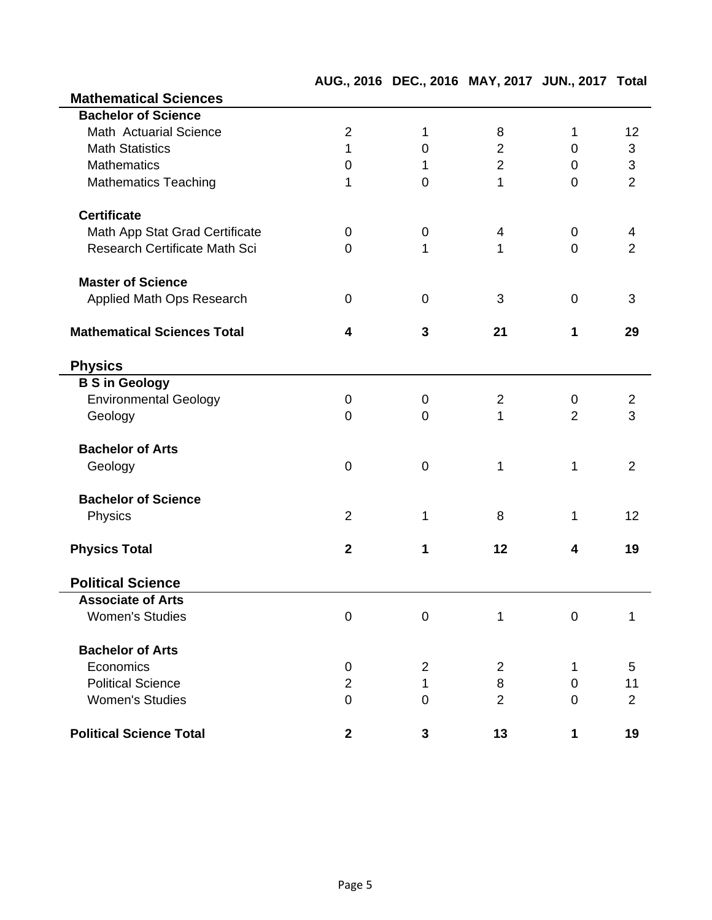|                                    |                | AUG., 2016 DEC., 2016 MAY, 2017 JUN., 2017 Total |                |                |                |
|------------------------------------|----------------|--------------------------------------------------|----------------|----------------|----------------|
| <b>Mathematical Sciences</b>       |                |                                                  |                |                |                |
| <b>Bachelor of Science</b>         |                |                                                  |                |                |                |
| Math Actuarial Science             | $\overline{2}$ | 1                                                | 8              | 1              | 12             |
| <b>Math Statistics</b>             | 1              | 0                                                | $\overline{2}$ | $\mathbf 0$    | 3              |
| <b>Mathematics</b>                 | $\mathbf 0$    | 1                                                | $\overline{2}$ | $\mathbf 0$    | $\sqrt{3}$     |
| <b>Mathematics Teaching</b>        | 1              | $\overline{0}$                                   | 1              | $\overline{0}$ | $\overline{2}$ |
| <b>Certificate</b>                 |                |                                                  |                |                |                |
| Math App Stat Grad Certificate     | 0              | $\mathbf 0$                                      | 4              | $\mathbf 0$    | 4              |
| Research Certificate Math Sci      | $\overline{0}$ | $\mathbf 1$                                      | 1              | $\overline{0}$ | $\overline{2}$ |
| <b>Master of Science</b>           |                |                                                  |                |                |                |
| Applied Math Ops Research          | $\mathbf 0$    | $\mathbf 0$                                      | 3              | $\mathbf 0$    | 3              |
| <b>Mathematical Sciences Total</b> | 4              | $\mathbf{3}$                                     | 21             | 1              | 29             |
| <b>Physics</b>                     |                |                                                  |                |                |                |
| <b>B S in Geology</b>              |                |                                                  |                |                |                |
| <b>Environmental Geology</b>       | $\mathbf 0$    | $\mathbf 0$                                      | $\overline{c}$ | $\mathbf 0$    | $\overline{2}$ |
| Geology                            | $\overline{0}$ | $\overline{0}$                                   | 1              | $\overline{2}$ | 3              |
| <b>Bachelor of Arts</b>            |                |                                                  |                |                |                |
| Geology                            | $\mathbf 0$    | $\mathbf 0$                                      | $\mathbf 1$    | 1              | $\overline{2}$ |
| <b>Bachelor of Science</b>         |                |                                                  |                |                |                |
| Physics                            | $\overline{2}$ | 1                                                | 8              | 1              | 12             |
| <b>Physics Total</b>               | $\overline{2}$ | 1                                                | 12             | 4              | 19             |
| <b>Political Science</b>           |                |                                                  |                |                |                |
| <b>Associate of Arts</b>           |                |                                                  |                |                |                |
| <b>Women's Studies</b>             | $\mathbf 0$    | $\mathbf 0$                                      | 1              | $\mathbf 0$    | 1              |
| <b>Bachelor of Arts</b>            |                |                                                  |                |                |                |
| Economics                          | $\pmb{0}$      | $\overline{2}$                                   | $\overline{2}$ | 1              | 5              |
| <b>Political Science</b>           | $\overline{2}$ | $\mathbf{1}$                                     | 8              | $\mathbf 0$    | 11             |
| <b>Women's Studies</b>             | $\overline{0}$ | $\overline{0}$                                   | $\overline{2}$ | $\mathbf 0$    | $\overline{2}$ |
| <b>Political Science Total</b>     | $\mathbf{2}$   | 3                                                | 13             | 1              | 19             |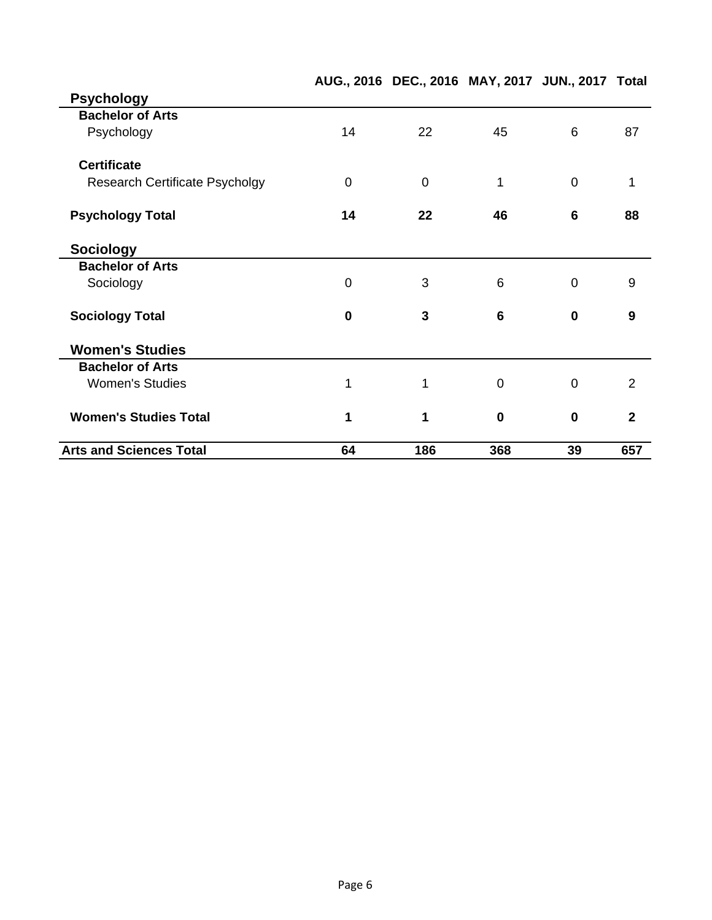|                                       |                | AUG., 2016 DEC., 2016 MAY, 2017 JUN., 2017 Total |             |                 |                         |
|---------------------------------------|----------------|--------------------------------------------------|-------------|-----------------|-------------------------|
| <b>Psychology</b>                     |                |                                                  |             |                 |                         |
| <b>Bachelor of Arts</b>               |                |                                                  |             |                 |                         |
| Psychology                            | 14             | 22                                               | 45          | 6               | 87                      |
| <b>Certificate</b>                    |                |                                                  |             |                 |                         |
| <b>Research Certificate Psycholgy</b> | $\overline{0}$ | $\overline{0}$                                   | 1           | $\overline{0}$  | 1                       |
| <b>Psychology Total</b>               | 14             | 22                                               | 46          | $6\phantom{1}6$ | 88                      |
| <b>Sociology</b>                      |                |                                                  |             |                 |                         |
| <b>Bachelor of Arts</b>               |                |                                                  |             |                 |                         |
| Sociology                             | $\overline{0}$ | 3                                                | 6           | $\overline{0}$  | 9                       |
| <b>Sociology Total</b>                | $\bf{0}$       | 3                                                | 6           | $\mathbf 0$     | $\boldsymbol{9}$        |
| <b>Women's Studies</b>                |                |                                                  |             |                 |                         |
| <b>Bachelor of Arts</b>               |                |                                                  |             |                 |                         |
| <b>Women's Studies</b>                | 1              | 1                                                | $\mathbf 0$ | $\overline{0}$  | 2                       |
| <b>Women's Studies Total</b>          | 1              | 1                                                | $\mathbf 0$ | $\mathbf 0$     | $\overline{\mathbf{2}}$ |
| <b>Arts and Sciences Total</b>        | 64             | 186                                              | 368         | 39              | 657                     |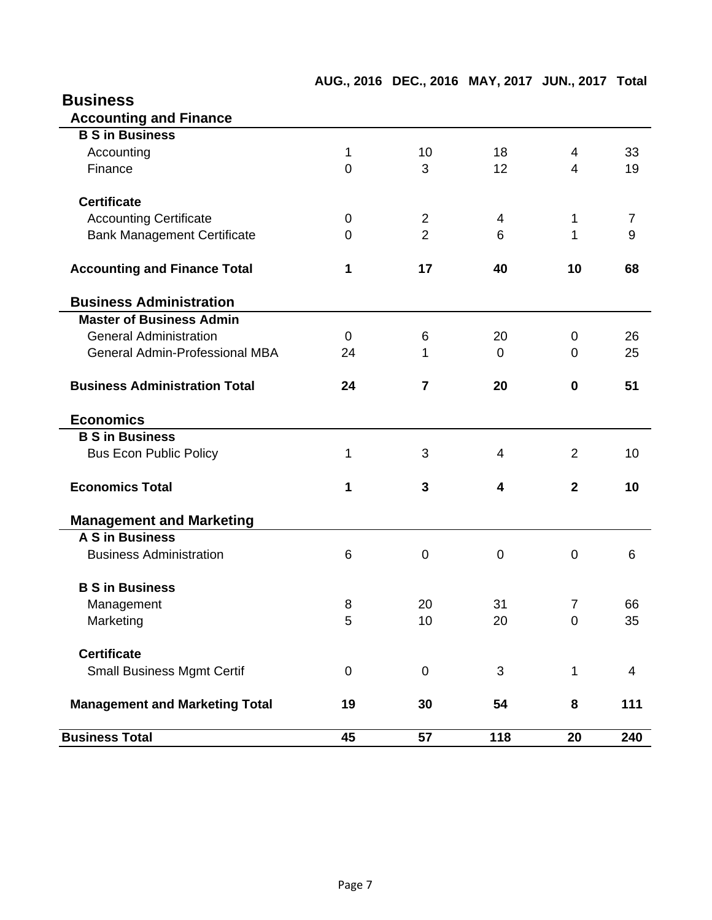| <b>Business</b>                       |                |                |                |                |                |
|---------------------------------------|----------------|----------------|----------------|----------------|----------------|
| <b>Accounting and Finance</b>         |                |                |                |                |                |
| <b>B S in Business</b>                |                |                |                |                |                |
| Accounting                            | 1              | 10             | 18             | 4              | 33             |
| Finance                               | $\overline{0}$ | 3              | 12             | $\overline{4}$ | 19             |
| <b>Certificate</b>                    |                |                |                |                |                |
| <b>Accounting Certificate</b>         | $\mathbf 0$    | $\overline{2}$ | 4              | 1              | 7              |
| <b>Bank Management Certificate</b>    | $\Omega$       | $\overline{2}$ | 6              | 1              | 9              |
| <b>Accounting and Finance Total</b>   | 1              | 17             | 40             | 10             | 68             |
| <b>Business Administration</b>        |                |                |                |                |                |
| <b>Master of Business Admin</b>       |                |                |                |                |                |
| <b>General Administration</b>         | $\mathbf 0$    | 6              | 20             | 0              | 26             |
| <b>General Admin-Professional MBA</b> | 24             | 1              | $\overline{0}$ | $\Omega$       | 25             |
| <b>Business Administration Total</b>  | 24             | $\overline{7}$ | 20             | $\bf{0}$       | 51             |
| <b>Economics</b>                      |                |                |                |                |                |
| <b>B S in Business</b>                |                |                |                |                |                |
| <b>Bus Econ Public Policy</b>         | 1              | 3              | 4              | $\overline{2}$ | 10             |
| <b>Economics Total</b>                | 1              | 3              | 4              | $\overline{2}$ | 10             |
| <b>Management and Marketing</b>       |                |                |                |                |                |
| <b>A S in Business</b>                |                |                |                |                |                |
| <b>Business Administration</b>        | 6              | $\overline{0}$ | $\mathbf 0$    | $\overline{0}$ | 6              |
| <b>B S in Business</b>                |                |                |                |                |                |
| Management                            | 8              | 20             | 31             | $\overline{7}$ | 66             |
| Marketing                             | 5              | 10             | 20             | $\mathbf 0$    | 35             |
| <b>Certificate</b>                    |                |                |                |                |                |
| <b>Small Business Mgmt Certif</b>     | $\mathbf 0$    | $\mathbf 0$    | 3              | 1              | $\overline{4}$ |
| <b>Management and Marketing Total</b> | 19             | 30             | 54             | 8              | 111            |
| <b>Business Total</b>                 | 45             | 57             | 118            | 20             | 240            |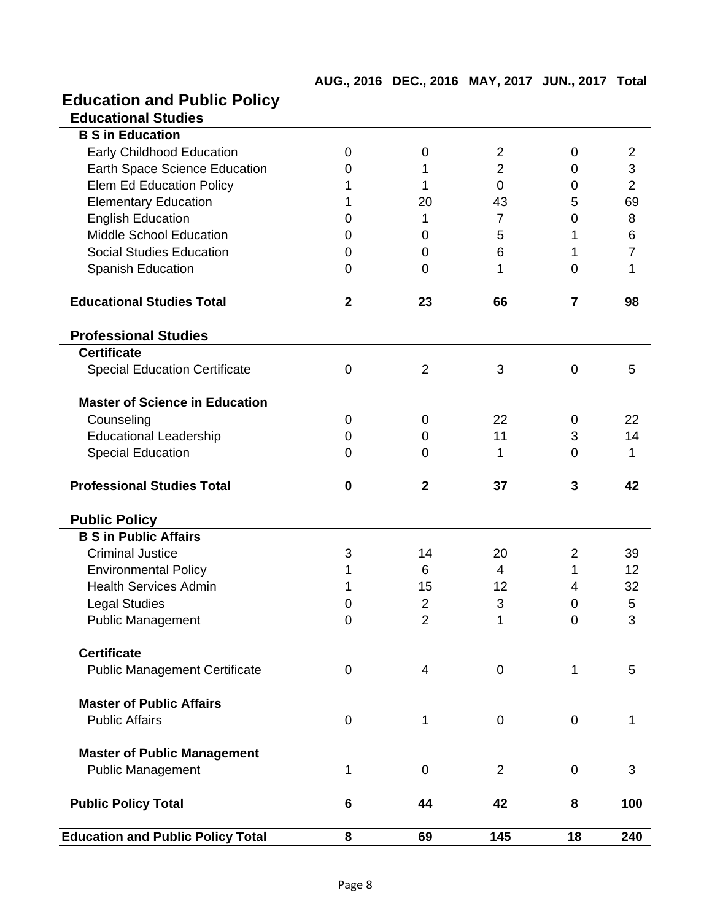| <b>Education and Public Policy</b>       |              |                |                |                |                |
|------------------------------------------|--------------|----------------|----------------|----------------|----------------|
| <b>Educational Studies</b>               |              |                |                |                |                |
| <b>B S in Education</b>                  |              |                |                |                |                |
| <b>Early Childhood Education</b>         | 0            | 0              | $\overline{2}$ | 0              | 2              |
| <b>Earth Space Science Education</b>     | 0            | 1              | $\overline{2}$ | 0              | 3              |
| <b>Elem Ed Education Policy</b>          | 1            | 1              | $\Omega$       | 0              | $\overline{2}$ |
| <b>Elementary Education</b>              | 1            | 20             | 43             | 5              | 69             |
| <b>English Education</b>                 | 0            | 1              | $\overline{7}$ | 0              | 8              |
| <b>Middle School Education</b>           | 0            | 0              | 5              | 1              | $\,6$          |
| <b>Social Studies Education</b>          | $\mathbf 0$  | 0              | 6              | 1              | $\overline{7}$ |
| Spanish Education                        | 0            | $\overline{0}$ | 1              | 0              | 1              |
| <b>Educational Studies Total</b>         | $\mathbf{2}$ | 23             | 66             | $\overline{7}$ | 98             |
| <b>Professional Studies</b>              |              |                |                |                |                |
| <b>Certificate</b>                       |              |                |                |                |                |
| <b>Special Education Certificate</b>     | $\mathbf 0$  | $\overline{2}$ | 3              | 0              | 5              |
| <b>Master of Science in Education</b>    |              |                |                |                |                |
| Counseling                               | 0            | 0              | 22             | 0              | 22             |
| <b>Educational Leadership</b>            | 0            | 0              | 11             | 3              | 14             |
| <b>Special Education</b>                 | 0            | 0              | 1              | $\overline{0}$ | 1              |
| <b>Professional Studies Total</b>        | $\bf{0}$     | $\mathbf{2}$   | 37             | 3              | 42             |
| <b>Public Policy</b>                     |              |                |                |                |                |
| <b>B S in Public Affairs</b>             |              |                |                |                |                |
| <b>Criminal Justice</b>                  | 3            | 14             | 20             | 2              | 39             |
| <b>Environmental Policy</b>              | 1            | 6              | 4              | 1              | 12             |
| <b>Health Services Admin</b>             | 1            | 15             | 12             | 4              | 32             |
| <b>Legal Studies</b>                     | 0            | $\overline{2}$ | 3              | $\mathbf 0$    | 5              |
| <b>Public Management</b>                 | 0            | $\overline{2}$ | 1              | 0              | 3              |
| <b>Certificate</b>                       |              |                |                |                |                |
| <b>Public Management Certificate</b>     | 0            | 4              | $\mathbf 0$    | $\mathbf{1}$   | 5              |
| <b>Master of Public Affairs</b>          |              |                |                |                |                |
| <b>Public Affairs</b>                    | $\mathbf 0$  | 1              | $\mathbf 0$    | $\mathbf 0$    | 1              |
| <b>Master of Public Management</b>       |              |                |                |                |                |
| <b>Public Management</b>                 | 1            | $\overline{0}$ | $\overline{2}$ | 0              | 3              |
| <b>Public Policy Total</b>               | 6            | 44             | 42             | 8              | 100            |
| <b>Education and Public Policy Total</b> | 8            | 69             | 145            | 18             | 240            |

**AUG., 2016 DEC., 2016 MAY, 2017 JUN., 2017 Total**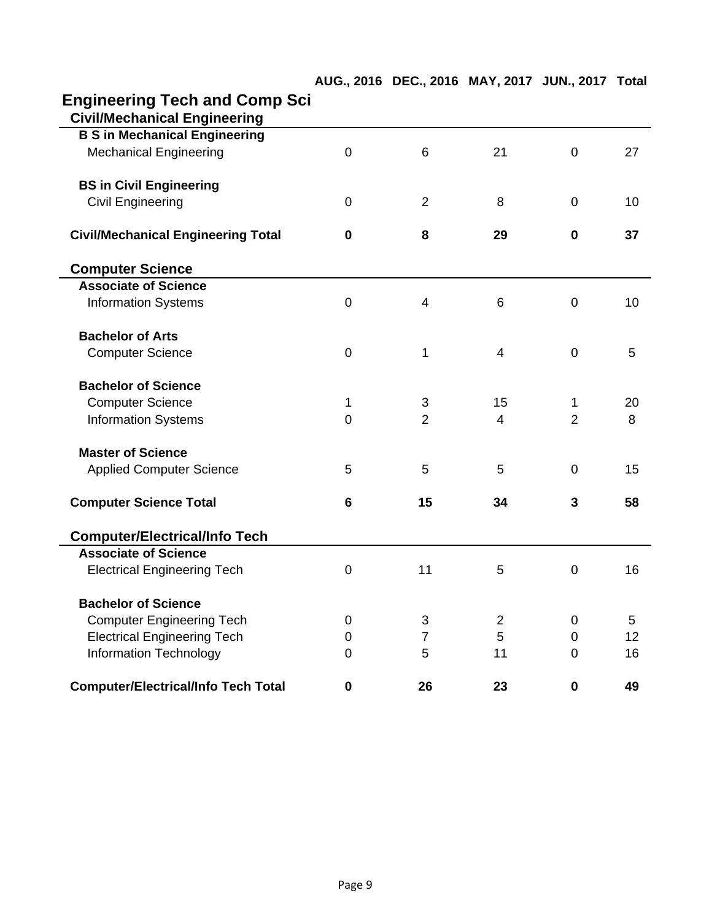|                                                                             |                 | AUG., 2016 DEC., 2016 MAY, 2017 JUN., 2017 Total |                |                |    |
|-----------------------------------------------------------------------------|-----------------|--------------------------------------------------|----------------|----------------|----|
| <b>Engineering Tech and Comp Sci</b><br><b>Civil/Mechanical Engineering</b> |                 |                                                  |                |                |    |
| <b>B S in Mechanical Engineering</b>                                        |                 |                                                  |                |                |    |
| <b>Mechanical Engineering</b>                                               | $\mathbf 0$     | 6                                                | 21             | $\overline{0}$ | 27 |
| <b>BS in Civil Engineering</b>                                              |                 |                                                  |                |                |    |
| <b>Civil Engineering</b>                                                    | $\mathbf 0$     | 2                                                | 8              | $\mathbf 0$    | 10 |
| <b>Civil/Mechanical Engineering Total</b>                                   | 0               | 8                                                | 29             | $\mathbf 0$    | 37 |
| <b>Computer Science</b>                                                     |                 |                                                  |                |                |    |
| <b>Associate of Science</b>                                                 |                 |                                                  |                |                |    |
| <b>Information Systems</b>                                                  | $\mathbf 0$     | $\overline{4}$                                   | 6              | 0              | 10 |
| <b>Bachelor of Arts</b>                                                     |                 |                                                  |                |                |    |
| <b>Computer Science</b>                                                     | $\mathbf 0$     | 1                                                | $\overline{4}$ | $\overline{0}$ | 5  |
| <b>Bachelor of Science</b>                                                  |                 |                                                  |                |                |    |
| <b>Computer Science</b>                                                     | 1               | 3                                                | 15             | 1              | 20 |
| <b>Information Systems</b>                                                  | $\overline{0}$  | $\overline{2}$                                   | $\overline{4}$ | $\overline{2}$ | 8  |
| <b>Master of Science</b>                                                    |                 |                                                  |                |                |    |
| <b>Applied Computer Science</b>                                             | 5               | 5                                                | 5              | $\mathbf 0$    | 15 |
| <b>Computer Science Total</b>                                               | $6\phantom{1}6$ | 15                                               | 34             | 3              | 58 |
| <b>Computer/Electrical/Info Tech</b>                                        |                 |                                                  |                |                |    |
| <b>Associate of Science</b>                                                 |                 |                                                  |                |                |    |
| <b>Electrical Engineering Tech</b>                                          | 0               | 11                                               | 5              | 0              | 16 |
| <b>Bachelor of Science</b>                                                  |                 |                                                  |                |                |    |
| <b>Computer Engineering Tech</b>                                            | 0               | 3                                                | $\overline{2}$ | 0              | 5  |
| <b>Electrical Engineering Tech</b>                                          | 0               | $\overline{7}$                                   | 5              | 0              | 12 |
| <b>Information Technology</b>                                               | $\overline{0}$  | 5                                                | 11             | $\Omega$       | 16 |
| <b>Computer/Electrical/Info Tech Total</b>                                  | 0               | 26                                               | 23             | $\mathbf 0$    | 49 |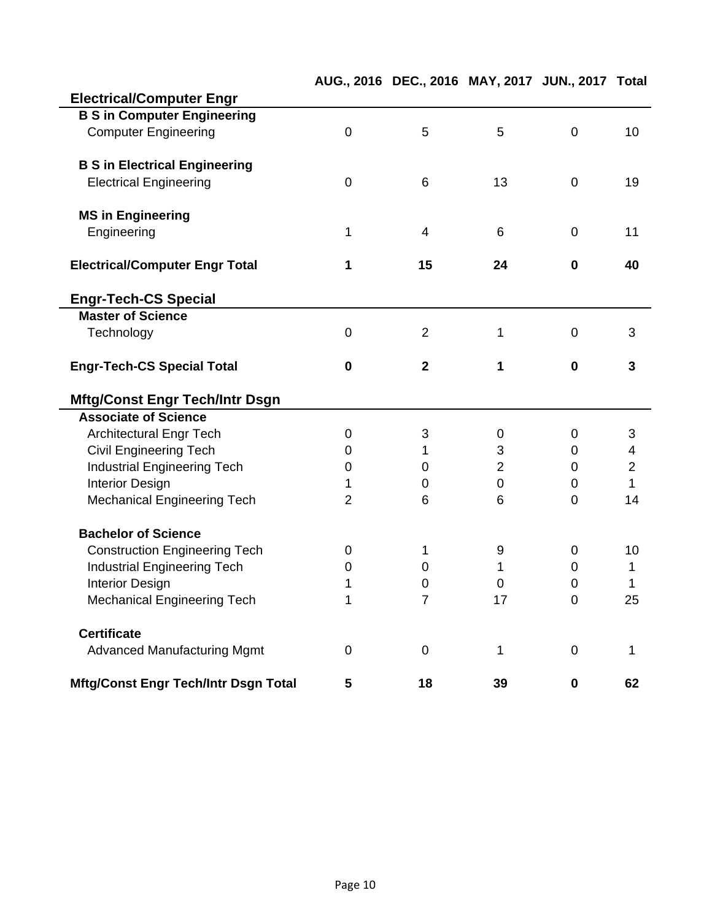|                                                         |                | AUG., 2016 DEC., 2016 MAY, 2017 JUN., 2017 Total |                |                  |                |
|---------------------------------------------------------|----------------|--------------------------------------------------|----------------|------------------|----------------|
| <b>Electrical/Computer Engr</b>                         |                |                                                  |                |                  |                |
| <b>B S in Computer Engineering</b>                      |                |                                                  |                |                  |                |
| <b>Computer Engineering</b>                             | $\overline{0}$ | 5                                                | 5              | $\mathbf 0$      | 10             |
|                                                         |                |                                                  |                |                  |                |
| <b>B S in Electrical Engineering</b>                    |                |                                                  |                |                  |                |
| <b>Electrical Engineering</b>                           | $\overline{0}$ | 6                                                | 13             | $\mathbf 0$      | 19             |
|                                                         |                |                                                  |                |                  |                |
| <b>MS in Engineering</b>                                |                |                                                  |                |                  |                |
| Engineering                                             | 1              | $\overline{4}$                                   | 6              | $\mathbf 0$      | 11             |
|                                                         |                |                                                  |                |                  |                |
| <b>Electrical/Computer Engr Total</b>                   | 1              | 15                                               | 24             | 0                | 40             |
|                                                         |                |                                                  |                |                  |                |
| <b>Engr-Tech-CS Special</b><br><b>Master of Science</b> |                |                                                  |                |                  |                |
|                                                         |                |                                                  |                |                  | 3              |
| Technology                                              | $\mathbf 0$    | $\overline{2}$                                   | 1              | $\mathbf 0$      |                |
| <b>Engr-Tech-CS Special Total</b>                       | $\mathbf 0$    | $\overline{\mathbf{2}}$                          | 1              | $\mathbf 0$      | 3              |
|                                                         |                |                                                  |                |                  |                |
| <b>Mftg/Const Engr Tech/Intr Dsgn</b>                   |                |                                                  |                |                  |                |
| <b>Associate of Science</b>                             |                |                                                  |                |                  |                |
| <b>Architectural Engr Tech</b>                          | $\mathbf 0$    | 3                                                | 0              | 0                | 3              |
| <b>Civil Engineering Tech</b>                           | 0              | 1                                                | 3              | 0                | 4              |
| <b>Industrial Engineering Tech</b>                      | 0              | 0                                                | $\overline{2}$ | 0                | $\overline{2}$ |
| <b>Interior Design</b>                                  | 1              | 0                                                | $\overline{0}$ | $\mathbf 0$      | 1              |
| <b>Mechanical Engineering Tech</b>                      | $\overline{2}$ | 6                                                | 6              | $\overline{0}$   | 14             |
|                                                         |                |                                                  |                |                  |                |
| <b>Bachelor of Science</b>                              |                |                                                  |                |                  |                |
| <b>Construction Engineering Tech</b>                    | $\mathbf 0$    | 1                                                | 9              | 0                | 10             |
| <b>Industrial Engineering Tech</b>                      | 0              | 0                                                | 1              | 0                | 1              |
| <b>Interior Design</b>                                  | 1              | 0                                                | 0              | $\boldsymbol{0}$ | 1              |
| <b>Mechanical Engineering Tech</b>                      | 1              | 7                                                | 1/             | 0                | 25             |
| <b>Certificate</b>                                      |                |                                                  |                |                  |                |
|                                                         |                |                                                  | $\mathbf 1$    | $\mathbf 0$      |                |
| <b>Advanced Manufacturing Mgmt</b>                      | 0              | $\boldsymbol{0}$                                 |                |                  | 1              |
| <b>Mftg/Const Engr Tech/Intr Dsgn Total</b>             | 5              | 18                                               | 39             | $\mathbf 0$      | 62             |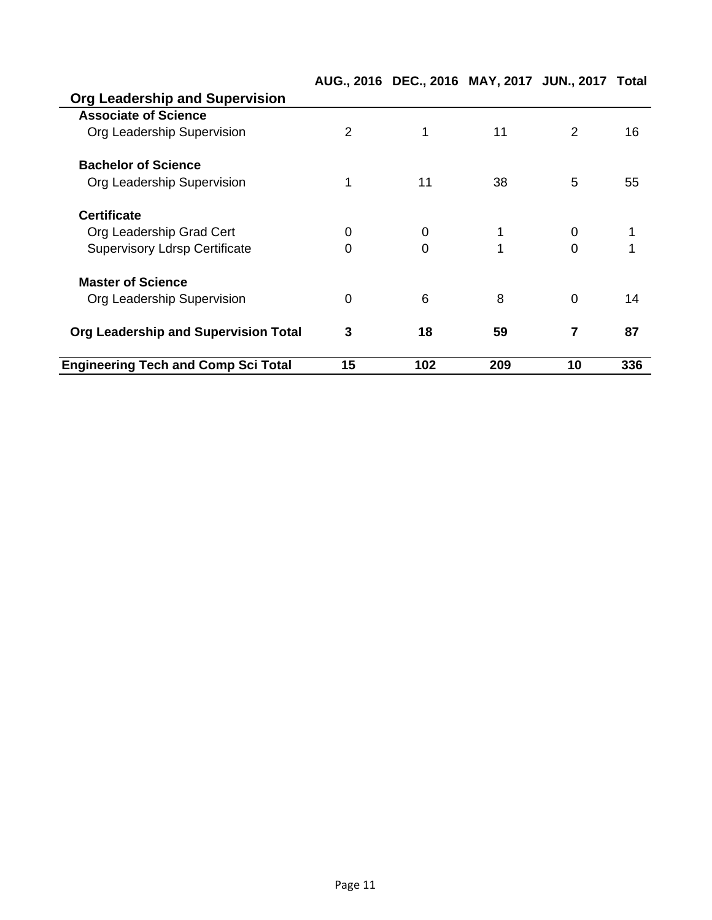|                                            |             | AUG., 2016 DEC., 2016 MAY, 2017 JUN., 2017 Total |     |          |     |
|--------------------------------------------|-------------|--------------------------------------------------|-----|----------|-----|
| <b>Org Leadership and Supervision</b>      |             |                                                  |     |          |     |
| <b>Associate of Science</b>                |             |                                                  |     |          |     |
| Org Leadership Supervision                 | 2           | 1                                                | 11  | 2        | 16  |
| <b>Bachelor of Science</b>                 |             |                                                  |     |          |     |
| Org Leadership Supervision                 |             | 11                                               | 38  | 5        | 55  |
| <b>Certificate</b>                         |             |                                                  |     |          |     |
| Org Leadership Grad Cert                   | 0           | 0                                                |     | 0        |     |
| <b>Supervisory Ldrsp Certificate</b>       | $\mathbf 0$ | 0                                                |     | $\Omega$ |     |
| <b>Master of Science</b>                   |             |                                                  |     |          |     |
| Org Leadership Supervision                 | $\mathbf 0$ | 6                                                | 8   | $\Omega$ | 14  |
| Org Leadership and Supervision Total       | 3           | 18                                               | 59  | 7        | 87  |
| <b>Engineering Tech and Comp Sci Total</b> | 15          | 102                                              | 209 | 10       | 336 |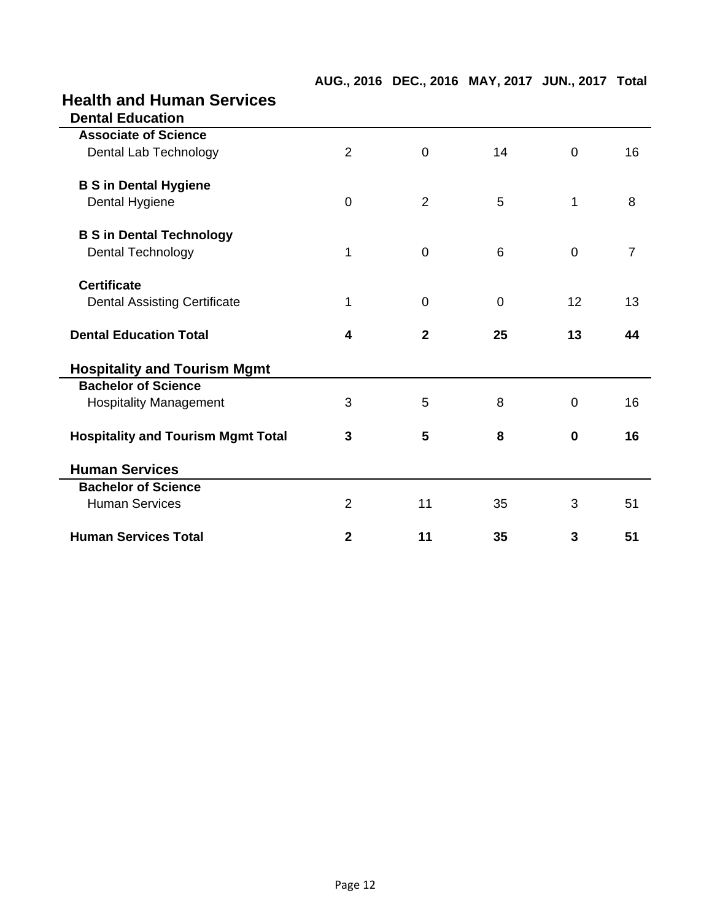| <b>Health and Human Services</b>          |                         |                |    |                |                |
|-------------------------------------------|-------------------------|----------------|----|----------------|----------------|
| <b>Dental Education</b>                   |                         |                |    |                |                |
| <b>Associate of Science</b>               |                         |                |    |                |                |
| Dental Lab Technology                     | $\overline{2}$          | $\mathbf 0$    | 14 | 0              | 16             |
| <b>B S in Dental Hygiene</b>              |                         |                |    |                |                |
| Dental Hygiene                            | $\mathbf 0$             | $\overline{2}$ | 5  | 1              | 8              |
| <b>B S in Dental Technology</b>           |                         |                |    |                |                |
| <b>Dental Technology</b>                  | 1                       | $\mathbf 0$    | 6  | $\mathbf 0$    | $\overline{7}$ |
| <b>Certificate</b>                        |                         |                |    |                |                |
| <b>Dental Assisting Certificate</b>       | 1                       | 0              | 0  | 12             | 13             |
| <b>Dental Education Total</b>             | $\overline{\mathbf{4}}$ | $\mathbf{2}$   | 25 | 13             | 44             |
| <b>Hospitality and Tourism Mgmt</b>       |                         |                |    |                |                |
| <b>Bachelor of Science</b>                |                         |                |    |                |                |
| <b>Hospitality Management</b>             | 3                       | 5              | 8  | $\overline{0}$ | 16             |
| <b>Hospitality and Tourism Mgmt Total</b> | 3                       | 5              | 8  | $\bf{0}$       | 16             |
| <b>Human Services</b>                     |                         |                |    |                |                |
| <b>Bachelor of Science</b>                |                         |                |    |                |                |
| <b>Human Services</b>                     | $\overline{2}$          | 11             | 35 | 3              | 51             |
| <b>Human Services Total</b>               | $\mathbf{2}$            | 11             | 35 | 3              | 51             |

**AUG., 2016 DEC., 2016 MAY, 2017 JUN., 2017 Total**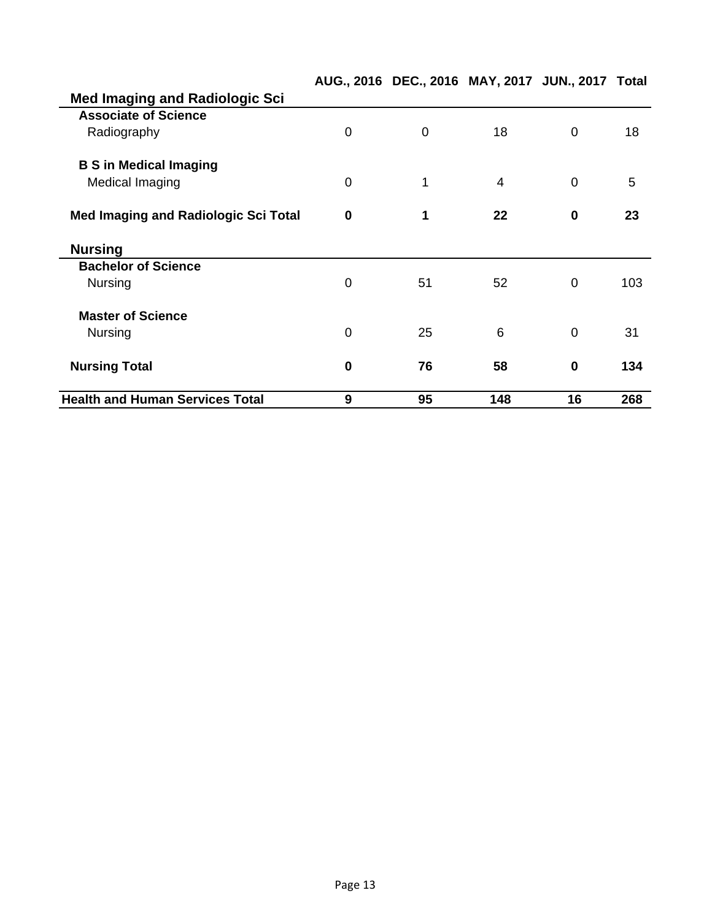|                                             |                | AUG., 2016 DEC., 2016 MAY, 2017 JUN., 2017 Total |                |                |     |
|---------------------------------------------|----------------|--------------------------------------------------|----------------|----------------|-----|
| <b>Med Imaging and Radiologic Sci</b>       |                |                                                  |                |                |     |
| <b>Associate of Science</b>                 |                |                                                  |                |                |     |
| Radiography                                 | 0              | 0                                                | 18             | 0              | 18  |
| <b>B S in Medical Imaging</b>               |                |                                                  |                |                |     |
| Medical Imaging                             | $\mathbf 0$    | 1                                                | $\overline{4}$ | $\overline{0}$ | 5   |
| <b>Med Imaging and Radiologic Sci Total</b> | 0              | 1                                                | 22             | $\bf{0}$       | 23  |
| <b>Nursing</b>                              |                |                                                  |                |                |     |
| <b>Bachelor of Science</b>                  |                |                                                  |                |                |     |
| <b>Nursing</b>                              | 0              | 51                                               | 52             | 0              | 103 |
| <b>Master of Science</b>                    |                |                                                  |                |                |     |
| <b>Nursing</b>                              | $\overline{0}$ | 25                                               | 6              | $\overline{0}$ | 31  |
| <b>Nursing Total</b>                        | $\bf{0}$       | 76                                               | 58             | $\bf{0}$       | 134 |
| <b>Health and Human Services Total</b>      | 9              | 95                                               | 148            | 16             | 268 |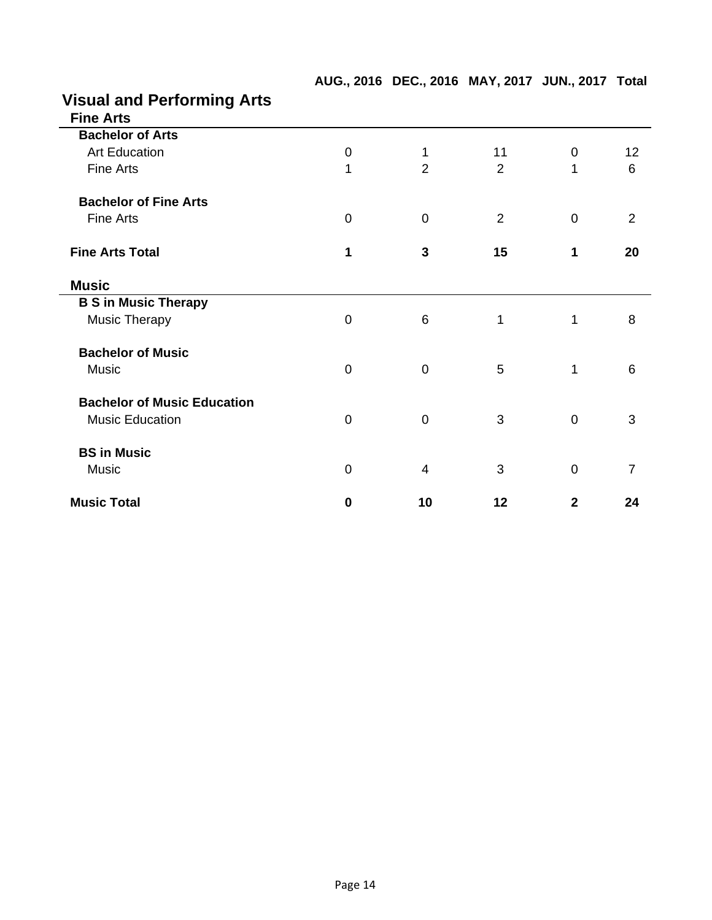| <b>Visual and Performing Arts</b>  |                  |                |                |                |                |
|------------------------------------|------------------|----------------|----------------|----------------|----------------|
| <b>Fine Arts</b>                   |                  |                |                |                |                |
| <b>Bachelor of Arts</b>            |                  |                |                |                |                |
| <b>Art Education</b>               | $\boldsymbol{0}$ | 1              | 11             | 0              | 12             |
| Fine Arts                          | 1                | $\overline{2}$ | $\overline{2}$ | 1              | 6              |
| <b>Bachelor of Fine Arts</b>       |                  |                |                |                |                |
| <b>Fine Arts</b>                   | $\mathbf 0$      | $\overline{0}$ | $\overline{2}$ | $\overline{0}$ | 2              |
| <b>Fine Arts Total</b>             | 1                | 3              | 15             | 1              | 20             |
| <b>Music</b>                       |                  |                |                |                |                |
| <b>B S in Music Therapy</b>        |                  |                |                |                |                |
| <b>Music Therapy</b>               | $\mathbf 0$      | 6              | 1              | 1              | 8              |
| <b>Bachelor of Music</b>           |                  |                |                |                |                |
| Music                              | $\boldsymbol{0}$ | 0              | 5              | 1              | 6              |
| <b>Bachelor of Music Education</b> |                  |                |                |                |                |
| <b>Music Education</b>             | $\overline{0}$   | $\overline{0}$ | 3              | $\overline{0}$ | 3              |
| <b>BS in Music</b>                 |                  |                |                |                |                |
| Music                              | $\boldsymbol{0}$ | 4              | 3              | $\mathbf 0$    | $\overline{7}$ |
| <b>Music Total</b>                 | 0                | 10             | 12             | $\mathbf{2}$   | 24             |

**AUG., 2016 DEC., 2016 MAY, 2017 JUN., 2017 Total**